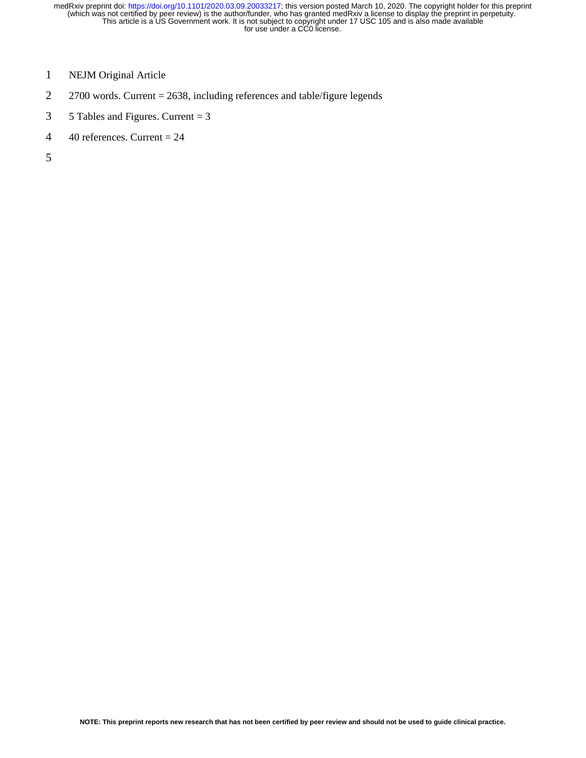- 1 NEJM Original Article
- 2 2700 words. Current = 2638, including references and table/figure legends
- 3 5 Tables and Figures. Current  $=$  3
- 4 40 references. Current  $= 24$

5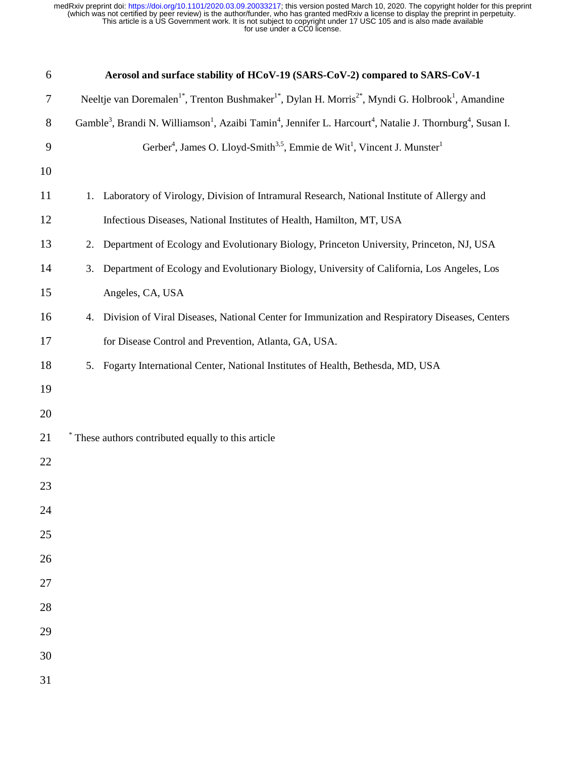| 6      | Aerosol and surface stability of HCoV-19 (SARS-CoV-2) compared to SARS-CoV-1                                                                                           |  |  |  |  |  |
|--------|------------------------------------------------------------------------------------------------------------------------------------------------------------------------|--|--|--|--|--|
| $\tau$ | Neeltje van Doremalen <sup>1*</sup> , Trenton Bushmaker <sup>1*</sup> , Dylan H. Morris <sup>2*</sup> , Myndi G. Holbrook <sup>1</sup> , Amandine                      |  |  |  |  |  |
| $8\,$  | Gamble <sup>3</sup> , Brandi N. Williamson <sup>1</sup> , Azaibi Tamin <sup>4</sup> , Jennifer L. Harcourt <sup>4</sup> , Natalie J. Thornburg <sup>4</sup> , Susan I. |  |  |  |  |  |
| 9      | Gerber <sup>4</sup> , James O. Lloyd-Smith <sup>3,5</sup> , Emmie de Wit <sup>1</sup> , Vincent J. Munster <sup>1</sup>                                                |  |  |  |  |  |
| 10     |                                                                                                                                                                        |  |  |  |  |  |
| 11     | Laboratory of Virology, Division of Intramural Research, National Institute of Allergy and<br>1.                                                                       |  |  |  |  |  |
| 12     | Infectious Diseases, National Institutes of Health, Hamilton, MT, USA                                                                                                  |  |  |  |  |  |
| 13     | Department of Ecology and Evolutionary Biology, Princeton University, Princeton, NJ, USA<br>2.                                                                         |  |  |  |  |  |
| 14     | Department of Ecology and Evolutionary Biology, University of California, Los Angeles, Los<br>3.                                                                       |  |  |  |  |  |
| 15     | Angeles, CA, USA                                                                                                                                                       |  |  |  |  |  |
| 16     | Division of Viral Diseases, National Center for Immunization and Respiratory Diseases, Centers<br>4.                                                                   |  |  |  |  |  |
| 17     | for Disease Control and Prevention, Atlanta, GA, USA.                                                                                                                  |  |  |  |  |  |
| 18     | Fogarty International Center, National Institutes of Health, Bethesda, MD, USA<br>5.                                                                                   |  |  |  |  |  |
| 19     |                                                                                                                                                                        |  |  |  |  |  |
| 20     |                                                                                                                                                                        |  |  |  |  |  |
| 21     | * These authors contributed equally to this article                                                                                                                    |  |  |  |  |  |
| 22     |                                                                                                                                                                        |  |  |  |  |  |
| 23     |                                                                                                                                                                        |  |  |  |  |  |
| 24     |                                                                                                                                                                        |  |  |  |  |  |
| 25     |                                                                                                                                                                        |  |  |  |  |  |
| 26     |                                                                                                                                                                        |  |  |  |  |  |
| 27     |                                                                                                                                                                        |  |  |  |  |  |
| 28     |                                                                                                                                                                        |  |  |  |  |  |
| 29     |                                                                                                                                                                        |  |  |  |  |  |
| 30     |                                                                                                                                                                        |  |  |  |  |  |
| 31     |                                                                                                                                                                        |  |  |  |  |  |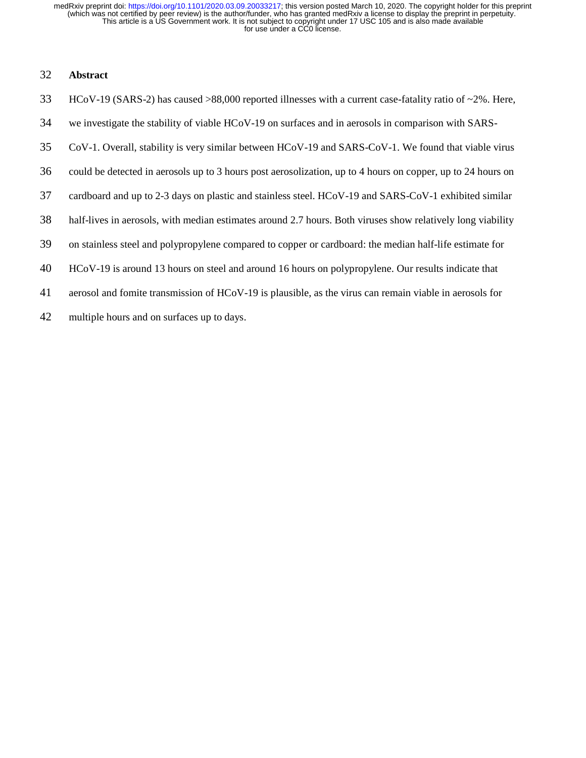## 32 **Abstract**

- 33 HCoV-19 (SARS-2) has caused >88,000 reported illnesses with a current case-fatality ratio of ~2%. Here, 34 we investigate the stability of viable HCoV-19 on surfaces and in aerosols in comparison with SARS-35 CoV-1. Overall, stability is very similar between HCoV-19 and SARS-CoV-1. We found that viable virus 36 could be detected in aerosols up to 3 hours post aerosolization, up to 4 hours on copper, up to 24 hours on 37 cardboard and up to 2-3 days on plastic and stainless steel. HCoV-19 and SARS-CoV-1 exhibited similar 38 half-lives in aerosols, with median estimates around 2.7 hours. Both viruses show relatively long viability 39 on stainless steel and polypropylene compared to copper or cardboard: the median half-life estimate for 40 HCoV-19 is around 13 hours on steel and around 16 hours on polypropylene. Our results indicate that 41 aerosol and fomite transmission of HCoV-19 is plausible, as the virus can remain viable in aerosols for
- 42 multiple hours and on surfaces up to days.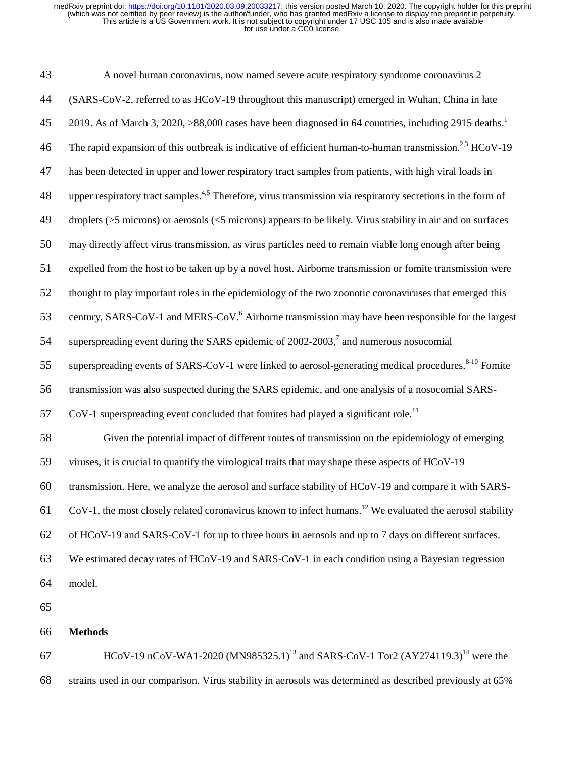| 43 | A novel human coronavirus, now named severe acute respiratory syndrome coronavirus 2                                    |
|----|-------------------------------------------------------------------------------------------------------------------------|
| 44 | (SARS-CoV-2, referred to as HCoV-19 throughout this manuscript) emerged in Wuhan, China in late                         |
| 45 | 2019. As of March 3, 2020, >88,000 cases have been diagnosed in 64 countries, including 2915 deaths. <sup>1</sup>       |
| 46 | The rapid expansion of this outbreak is indicative of efficient human-to-human transmission. <sup>2,3</sup> HCoV-19     |
| 47 | has been detected in upper and lower respiratory tract samples from patients, with high viral loads in                  |
| 48 | upper respiratory tract samples. <sup>4,5</sup> Therefore, virus transmission via respiratory secretions in the form of |
| 49 | droplets ( $>5$ microns) or aerosols ( $<5$ microns) appears to be likely. Virus stability in air and on surfaces       |
| 50 | may directly affect virus transmission, as virus particles need to remain viable long enough after being                |
| 51 | expelled from the host to be taken up by a novel host. Airborne transmission or fomite transmission were                |
| 52 | thought to play important roles in the epidemiology of the two zoonotic coronaviruses that emerged this                 |
| 53 | century, SARS-CoV-1 and MERS-CoV. <sup>6</sup> Airborne transmission may have been responsible for the largest          |
| 54 | superspreading event during the SARS epidemic of 2002-2003, <sup>7</sup> and numerous nosocomial                        |
| 55 | superspreading events of SARS-CoV-1 were linked to aerosol-generating medical procedures. <sup>8-10</sup> Fomite        |
| 56 | transmission was also suspected during the SARS epidemic, and one analysis of a nosocomial SARS-                        |
| 57 | CoV-1 superspreading event concluded that fomites had played a significant role. <sup>11</sup>                          |
| 58 | Given the potential impact of different routes of transmission on the epidemiology of emerging                          |
| 59 | viruses, it is crucial to quantify the virological traits that may shape these aspects of HCoV-19                       |
| 60 | transmission. Here, we analyze the aerosol and surface stability of HCoV-19 and compare it with SARS-                   |
| 61 | CoV-1, the most closely related coronavirus known to infect humans. <sup>12</sup> We evaluated the aerosol stability    |
| 62 | of HCoV-19 and SARS-CoV-1 for up to three hours in aerosols and up to 7 days on different surfaces.                     |
| 63 | We estimated decay rates of HCoV-19 and SARS-CoV-1 in each condition using a Bayesian regression                        |
| 64 | model.                                                                                                                  |
| 65 |                                                                                                                         |
| 66 | <b>Methods</b>                                                                                                          |
| 67 | HCoV-19 nCoV-WA1-2020 (MN985325.1) <sup>13</sup> and SARS-CoV-1 Tor2 (AY274119.3) <sup>14</sup> were the                |

68 strains used in our comparison. Virus stability in aerosols was determined as described previously at 65%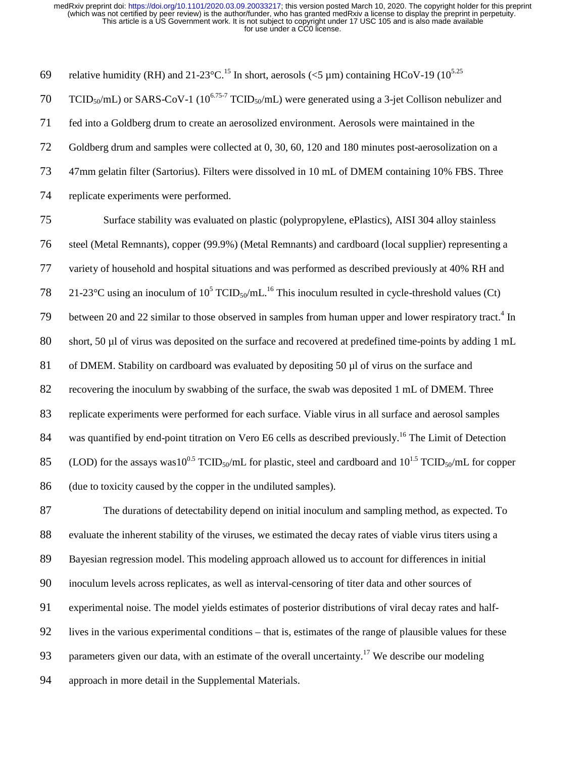69 relative humidity (RH) and 21-23°C.<sup>15</sup> In short, aerosols ( $\leq$ 5 µm) containing HCoV-19 (10<sup>5.25</sup>) 70 TCID<sub>50</sub>/mL) or SARS-CoV-1 (10<sup>6.75-7</sup> TCID<sub>50</sub>/mL) were generated using a 3-jet Collison nebulizer and 71 fed into a Goldberg drum to create an aerosolized environment. Aerosols were maintained in the 72 Goldberg drum and samples were collected at 0, 30, 60, 120 and 180 minutes post-aerosolization on a 73 47mm gelatin filter (Sartorius). Filters were dissolved in 10 mL of DMEM containing 10% FBS. Three 74 replicate experiments were performed. 75 Surface stability was evaluated on plastic (polypropylene, ePlastics), AISI 304 alloy stainless 76 steel (Metal Remnants), copper (99.9%) (Metal Remnants) and cardboard (local supplier) representing a 77 variety of household and hospital situations and was performed as described previously at 40% RH and 78 21-23°C using an inoculum of  $10^5$  TCID<sub>50</sub>/mL.<sup>16</sup> This inoculum resulted in cycle-threshold values (Ct) 79 between 20 and 22 similar to those observed in samples from human upper and lower respiratory tract.<sup>4</sup> In 80 short, 50 µl of virus was deposited on the surface and recovered at predefined time-points by adding 1 mL 81 of DMEM. Stability on cardboard was evaluated by depositing 50 µl of virus on the surface and 82 recovering the inoculum by swabbing of the surface, the swab was deposited 1 mL of DMEM. Three 83 replicate experiments were performed for each surface. Viable virus in all surface and aerosol samples 84 was quantified by end-point titration on Vero E6 cells as described previously.<sup>16</sup> The Limit of Detection 85 (LOD) for the assays was10<sup>0.5</sup> TCID<sub>50</sub>/mL for plastic, steel and cardboard and  $10^{1.5}$  TCID<sub>50</sub>/mL for copper

86 (due to toxicity caused by the copper in the undiluted samples).

87 The durations of detectability depend on initial inoculum and sampling method, as expected. To 88 evaluate the inherent stability of the viruses, we estimated the decay rates of viable virus titers using a 89 Bayesian regression model. This modeling approach allowed us to account for differences in initial 90 inoculum levels across replicates, as well as interval-censoring of titer data and other sources of 91 experimental noise. The model yields estimates of posterior distributions of viral decay rates and half-92 lives in the various experimental conditions – that is, estimates of the range of plausible values for these 93 parameters given our data, with an estimate of the overall uncertainty.<sup>17</sup> We describe our modeling 94 approach in more detail in the Supplemental Materials.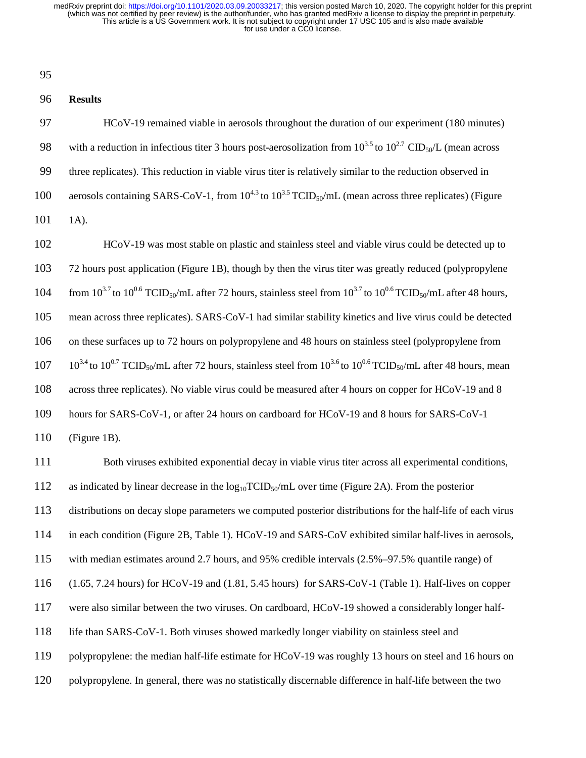95

## 96 **Results**

97 HCoV-19 remained viable in aerosols throughout the duration of our experiment (180 minutes) 98 with a reduction in infectious titer 3 hours post-aerosolization from  $10^{3.5}$  to  $10^{2.7}$  CID<sub>50</sub>/L (mean across 99 three replicates). This reduction in viable virus titer is relatively similar to the reduction observed in 100 aerosols containing SARS-CoV-1, from  $10^{4.3}$  to  $10^{3.5}$  TCID<sub>50</sub>/mL (mean across three replicates) (Figure 101 1A).

102 HCoV-19 was most stable on plastic and stainless steel and viable virus could be detected up to 103 72 hours post application (Figure 1B), though by then the virus titer was greatly reduced (polypropylene 104 from  $10^{3.7}$  to  $10^{0.6}$  TCID<sub>50</sub>/mL after 72 hours, stainless steel from  $10^{3.7}$  to  $10^{0.6}$  TCID<sub>50</sub>/mL after 48 hours, 105 mean across three replicates). SARS-CoV-1 had similar stability kinetics and live virus could be detected 106 on these surfaces up to 72 hours on polypropylene and 48 hours on stainless steel (polypropylene from  $107 \t10^{3.4}$  to  $10^{0.7}$  TCID<sub>50</sub>/mL after 72 hours, stainless steel from  $10^{3.6}$  to  $10^{0.6}$  TCID<sub>50</sub>/mL after 48 hours, mean 108 across three replicates). No viable virus could be measured after 4 hours on copper for HCoV-19 and 8 109 hours for SARS-CoV-1, or after 24 hours on cardboard for HCoV-19 and 8 hours for SARS-CoV-1

110 (Figure 1B).

111 Both viruses exhibited exponential decay in viable virus titer across all experimental conditions, 112 as indicated by linear decrease in the  $log_{10}TCID_{50}/mL$  over time (Figure 2A). From the posterior 113 distributions on decay slope parameters we computed posterior distributions for the half-life of each virus 114 in each condition (Figure 2B, Table 1). HCoV-19 and SARS-CoV exhibited similar half-lives in aerosols, 115 with median estimates around 2.7 hours, and 95% credible intervals (2.5%–97.5% quantile range) of 116 (1.65, 7.24 hours) for HCoV-19 and (1.81, 5.45 hours) for SARS-CoV-1 (Table 1). Half-lives on copper 117 were also similar between the two viruses. On cardboard, HCoV-19 showed a considerably longer half-118 life than SARS-CoV-1. Both viruses showed markedly longer viability on stainless steel and 119 polypropylene: the median half-life estimate for HCoV-19 was roughly 13 hours on steel and 16 hours on 120 polypropylene. In general, there was no statistically discernable difference in half-life between the two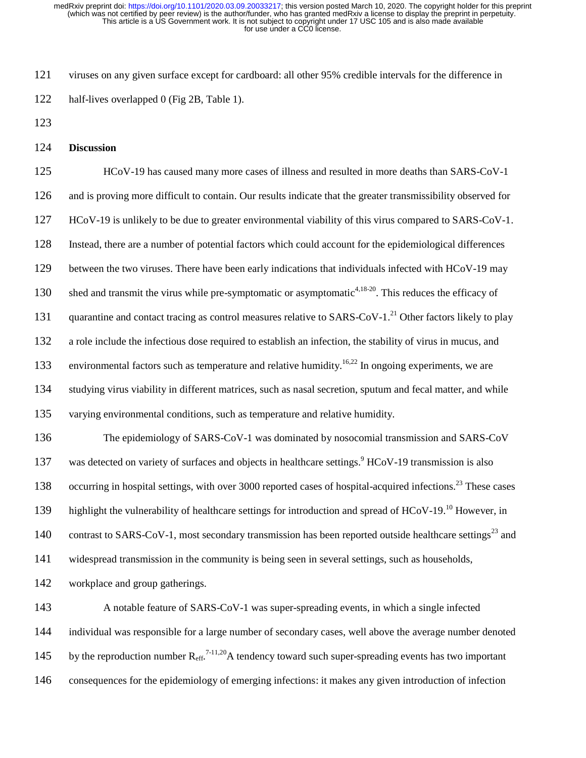121 viruses on any given surface except for cardboard: all other 95% credible intervals for the difference in 122 half-lives overlapped 0 (Fig 2B, Table 1).

- 123
- 124 **Discussion**

125 HCoV-19 has caused many more cases of illness and resulted in more deaths than SARS-CoV-1 126 and is proving more difficult to contain. Our results indicate that the greater transmissibility observed for 127 HCoV-19 is unlikely to be due to greater environmental viability of this virus compared to SARS-CoV-1. 128 Instead, there are a number of potential factors which could account for the epidemiological differences 129 between the two viruses. There have been early indications that individuals infected with HCoV-19 may 130 shed and transmit the virus while pre-symptomatic or asymptomatic<sup>4,18-20</sup>. This reduces the efficacy of 131 quarantine and contact tracing as control measures relative to SARS-CoV-1.<sup>21</sup> Other factors likely to play 132 a role include the infectious dose required to establish an infection, the stability of virus in mucus, and 133 environmental factors such as temperature and relative humidity.<sup>16,22</sup> In ongoing experiments, we are 134 studying virus viability in different matrices, such as nasal secretion, sputum and fecal matter, and while 135 varying environmental conditions, such as temperature and relative humidity. 136 The epidemiology of SARS-CoV-1 was dominated by nosocomial transmission and SARS-CoV 137 was detected on variety of surfaces and objects in healthcare settings.<sup>9</sup> HCoV-19 transmission is also 138 occurring in hospital settings, with over 3000 reported cases of hospital-acquired infections.<sup>23</sup> These cases

highlight the vulnerability of healthcare settings for introduction and spread of HCoV-19.<sup>10</sup> However, in

140 contrast to SARS-CoV-1, most secondary transmission has been reported outside healthcare settings<sup>23</sup> and

141 widespread transmission in the community is being seen in several settings, such as households,

142 workplace and group gatherings.

143 A notable feature of SARS-CoV-1 was super-spreading events, in which a single infected 144 individual was responsible for a large number of secondary cases, well above the average number denoted 145 by the reproduction number  $R_{\text{eff}}^{7-11,20}$  a tendency toward such super-spreading events has two important 146 consequences for the epidemiology of emerging infections: it makes any given introduction of infection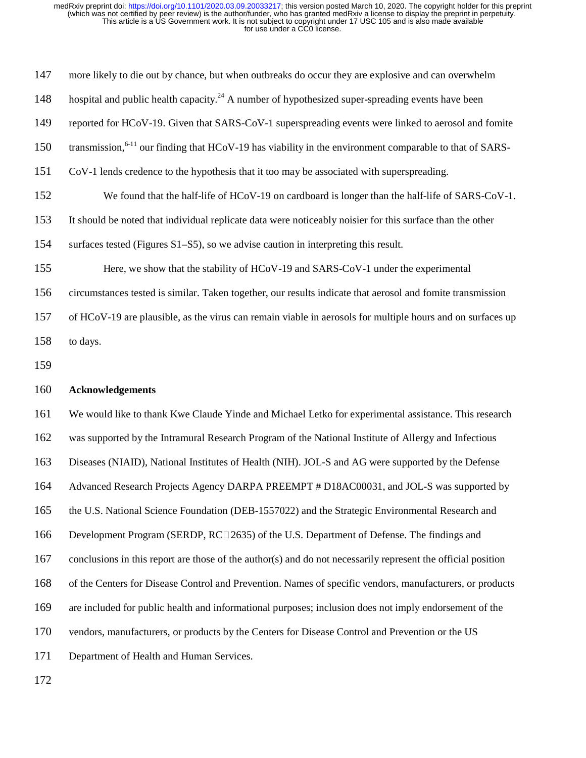| 147 | more likely to die out by chance, but when outbreaks do occur they are explosive and can overwhelm                  |
|-----|---------------------------------------------------------------------------------------------------------------------|
| 148 | hospital and public health capacity. <sup>24</sup> A number of hypothesized super-spreading events have been        |
| 149 | reported for HCoV-19. Given that SARS-CoV-1 superspreading events were linked to aerosol and fomite                 |
| 150 | transmission, <sup>6-11</sup> our finding that HCoV-19 has viability in the environment comparable to that of SARS- |
| 151 | CoV-1 lends credence to the hypothesis that it too may be associated with superspreading.                           |
| 152 | We found that the half-life of HCoV-19 on cardboard is longer than the half-life of SARS-CoV-1.                     |
| 153 | It should be noted that individual replicate data were noticeably noisier for this surface than the other           |
| 154 | surfaces tested (Figures S1–S5), so we advise caution in interpreting this result.                                  |
| 155 | Here, we show that the stability of HCoV-19 and SARS-CoV-1 under the experimental                                   |
| 156 | circumstances tested is similar. Taken together, our results indicate that aerosol and fomite transmission          |
| 157 | of HCoV-19 are plausible, as the virus can remain viable in aerosols for multiple hours and on surfaces up          |
| 158 | to days.                                                                                                            |
| 159 |                                                                                                                     |
|     |                                                                                                                     |
| 160 | <b>Acknowledgements</b>                                                                                             |
| 161 | We would like to thank Kwe Claude Yinde and Michael Letko for experimental assistance. This research                |
| 162 | was supported by the Intramural Research Program of the National Institute of Allergy and Infectious                |
| 163 | Diseases (NIAID), National Institutes of Health (NIH). JOL-S and AG were supported by the Defense                   |
| 164 | Advanced Research Projects Agency DARPA PREEMPT # D18AC00031, and JOL-S was supported by                            |
| 165 | the U.S. National Science Foundation (DEB-1557022) and the Strategic Environmental Research and                     |
| 166 | Development Program (SERDP, RC□2635) of the U.S. Department of Defense. The findings and                            |
| 167 | conclusions in this report are those of the author(s) and do not necessarily represent the official position        |
| 168 | of the Centers for Disease Control and Prevention. Names of specific vendors, manufacturers, or products            |
| 169 | are included for public health and informational purposes; inclusion does not imply endorsement of the              |
| 170 | vendors, manufacturers, or products by the Centers for Disease Control and Prevention or the US                     |
| 171 | Department of Health and Human Services.                                                                            |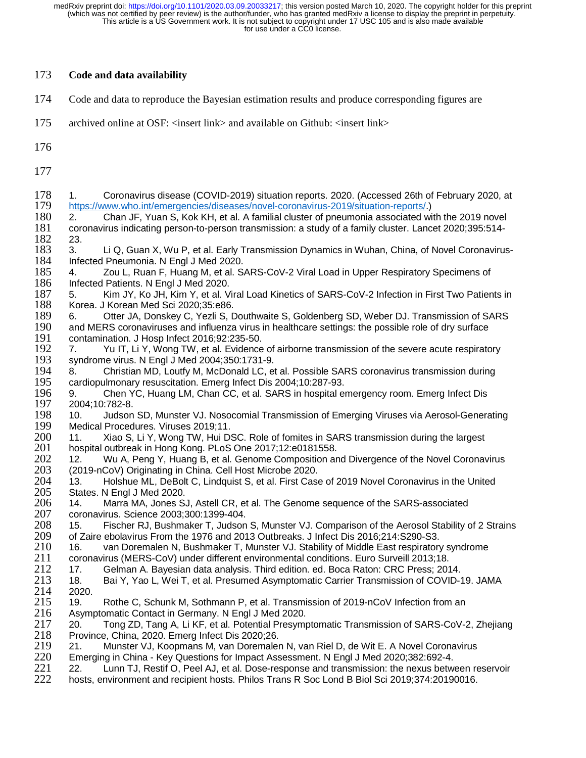| 173                                                                                                                                                                         | Code and data availability                                                                                                                                                                                                                                                                                                                                                                                                                                                                                                                                                                                                                                                                                                                                                                                                                                                                                                                                                                                                                                                                                                                                                                                                                                                                                                                                                                                                                                                                                                                                                                                                                                                                                                                                                                                                                                                                                                                                                                 |
|-----------------------------------------------------------------------------------------------------------------------------------------------------------------------------|--------------------------------------------------------------------------------------------------------------------------------------------------------------------------------------------------------------------------------------------------------------------------------------------------------------------------------------------------------------------------------------------------------------------------------------------------------------------------------------------------------------------------------------------------------------------------------------------------------------------------------------------------------------------------------------------------------------------------------------------------------------------------------------------------------------------------------------------------------------------------------------------------------------------------------------------------------------------------------------------------------------------------------------------------------------------------------------------------------------------------------------------------------------------------------------------------------------------------------------------------------------------------------------------------------------------------------------------------------------------------------------------------------------------------------------------------------------------------------------------------------------------------------------------------------------------------------------------------------------------------------------------------------------------------------------------------------------------------------------------------------------------------------------------------------------------------------------------------------------------------------------------------------------------------------------------------------------------------------------------|
| 174                                                                                                                                                                         | Code and data to reproduce the Bayesian estimation results and produce corresponding figures are                                                                                                                                                                                                                                                                                                                                                                                                                                                                                                                                                                                                                                                                                                                                                                                                                                                                                                                                                                                                                                                                                                                                                                                                                                                                                                                                                                                                                                                                                                                                                                                                                                                                                                                                                                                                                                                                                           |
| 175                                                                                                                                                                         | archived online at OSF: <insert link=""> and available on Github: <insert link=""></insert></insert>                                                                                                                                                                                                                                                                                                                                                                                                                                                                                                                                                                                                                                                                                                                                                                                                                                                                                                                                                                                                                                                                                                                                                                                                                                                                                                                                                                                                                                                                                                                                                                                                                                                                                                                                                                                                                                                                                       |
| 176                                                                                                                                                                         |                                                                                                                                                                                                                                                                                                                                                                                                                                                                                                                                                                                                                                                                                                                                                                                                                                                                                                                                                                                                                                                                                                                                                                                                                                                                                                                                                                                                                                                                                                                                                                                                                                                                                                                                                                                                                                                                                                                                                                                            |
| 177                                                                                                                                                                         |                                                                                                                                                                                                                                                                                                                                                                                                                                                                                                                                                                                                                                                                                                                                                                                                                                                                                                                                                                                                                                                                                                                                                                                                                                                                                                                                                                                                                                                                                                                                                                                                                                                                                                                                                                                                                                                                                                                                                                                            |
| 178<br>179<br>180<br>181<br>182<br>183<br>184<br>185<br>186<br>187<br>188<br>189<br>190<br>191<br>192<br>193<br>194<br>195<br>196<br>197<br>198<br>199<br>200<br>201<br>202 | Coronavirus disease (COVID-2019) situation reports. 2020. (Accessed 26th of February 2020, at<br>1.<br>https://www.who.int/emergencies/diseases/novel-coronavirus-2019/situation-reports/.)<br>Chan JF, Yuan S, Kok KH, et al. A familial cluster of pneumonia associated with the 2019 novel<br>2.<br>coronavirus indicating person-to-person transmission: a study of a family cluster. Lancet 2020;395:514-<br>23.<br>Li Q, Guan X, Wu P, et al. Early Transmission Dynamics in Wuhan, China, of Novel Coronavirus-<br>3.<br>Infected Pneumonia. N Engl J Med 2020.<br>Zou L, Ruan F, Huang M, et al. SARS-CoV-2 Viral Load in Upper Respiratory Specimens of<br>4.<br>Infected Patients. N Engl J Med 2020.<br>Kim JY, Ko JH, Kim Y, et al. Viral Load Kinetics of SARS-CoV-2 Infection in First Two Patients in<br>5.<br>Korea. J Korean Med Sci 2020;35:e86.<br>Otter JA, Donskey C, Yezli S, Douthwaite S, Goldenberg SD, Weber DJ. Transmission of SARS<br>6.<br>and MERS coronaviruses and influenza virus in healthcare settings: the possible role of dry surface<br>contamination. J Hosp Infect 2016;92:235-50.<br>Yu IT, Li Y, Wong TW, et al. Evidence of airborne transmission of the severe acute respiratory<br>7.<br>syndrome virus. N Engl J Med 2004;350:1731-9.<br>Christian MD, Loutfy M, McDonald LC, et al. Possible SARS coronavirus transmission during<br>8.<br>cardiopulmonary resuscitation. Emerg Infect Dis 2004;10:287-93.<br>Chen YC, Huang LM, Chan CC, et al. SARS in hospital emergency room. Emerg Infect Dis<br>9.<br>2004;10:782-8.<br>Judson SD, Munster VJ. Nosocomial Transmission of Emerging Viruses via Aerosol-Generating<br>10.<br>Medical Procedures. Viruses 2019;11.<br>Xiao S, Li Y, Wong TW, Hui DSC. Role of fomites in SARS transmission during the largest<br>11.<br>hospital outbreak in Hong Kong. PLoS One 2017;12:e0181558.<br>Wu A, Peng Y, Huang B, et al. Genome Composition and Divergence of the Novel Coronavirus<br>12. |
| 203<br>204                                                                                                                                                                  | (2019-nCoV) Originating in China. Cell Host Microbe 2020.<br>13.<br>Holshue ML, DeBolt C, Lindquist S, et al. First Case of 2019 Novel Coronavirus in the United                                                                                                                                                                                                                                                                                                                                                                                                                                                                                                                                                                                                                                                                                                                                                                                                                                                                                                                                                                                                                                                                                                                                                                                                                                                                                                                                                                                                                                                                                                                                                                                                                                                                                                                                                                                                                           |
| 205                                                                                                                                                                         | States. N Engl J Med 2020.                                                                                                                                                                                                                                                                                                                                                                                                                                                                                                                                                                                                                                                                                                                                                                                                                                                                                                                                                                                                                                                                                                                                                                                                                                                                                                                                                                                                                                                                                                                                                                                                                                                                                                                                                                                                                                                                                                                                                                 |
| 206<br>207                                                                                                                                                                  | 14.<br>Marra MA, Jones SJ, Astell CR, et al. The Genome sequence of the SARS-associated<br>coronavirus. Science 2003;300:1399-404.                                                                                                                                                                                                                                                                                                                                                                                                                                                                                                                                                                                                                                                                                                                                                                                                                                                                                                                                                                                                                                                                                                                                                                                                                                                                                                                                                                                                                                                                                                                                                                                                                                                                                                                                                                                                                                                         |

208 15. Fischer RJ, Bushmaker T, Judson S, Munster VJ. Comparison of the Aerosol Stability of 2 Strains 209 cf<br>209 of Zaire ebolavirus From the 1976 and 2013 Outbreaks. J Infect Dis 2016:214:S290-S3. 209 of Zaire ebolavirus From the 1976 and 2013 Outbreaks. J Infect Dis 2016;214:S290-S3.

- 210 16. van Doremalen N, Bushmaker T, Munster VJ. Stability of Middle East respiratory syndrome<br>211 coronavirus (MERS-CoV) under different environmental conditions. Euro Surveill 2013;18.
- 211 coronavirus (MERS-CoV) under different environmental conditions. Euro Surveill 2013;18.
- 212 17. Gelman A. Bayesian data analysis. Third edition. ed. Boca Raton: CRC Press; 2014.
- 213 18. Bai Y, Yao L, Wei T, et al. Presumed Asymptomatic Carrier Transmission of COVID-19. JAMA<br>214 2020. 214 2020.<br>215 19.
- 215 19. Rothe C, Schunk M, Sothmann P, et al. Transmission of 2019-nCoV Infection from an 216 Asymptomatic Contact in Germany. N Engl J Med 2020. 216 Asymptomatic Contact in Germany. N Engl J Med 2020.
- 217 20. Tong ZD, Tang A, Li KF, et al. Potential Presymptomatic Transmission of SARS-CoV-2, Zhejiang<br>218 Province, China, 2020. Emerg Infect Dis 2020;26. 218 Province, China, 2020. Emerg Infect Dis 2020;26.
- 219 21. Munster VJ, Koopmans M, van Doremalen N, van Riel D, de Wit E. A Novel Coronavirus<br>220 Emerging in China Key Questions for Impact Assessment. N Engl J Med 2020;382:692-4.
- 220 Emerging in China Key Questions for Impact Assessment. N Engl J Med 2020;382:692-4.
- 221 22. Lunn TJ, Restif O, Peel AJ, et al. Dose-response and transmission: the nexus between reservoir<br>222 hosts, environment and recipient hosts. Philos Trans R Soc Lond B Biol Sci 2019:374:20190016. 222 hosts, environment and recipient hosts. Philos Trans R Soc Lond B Biol Sci 2019;374:20190016.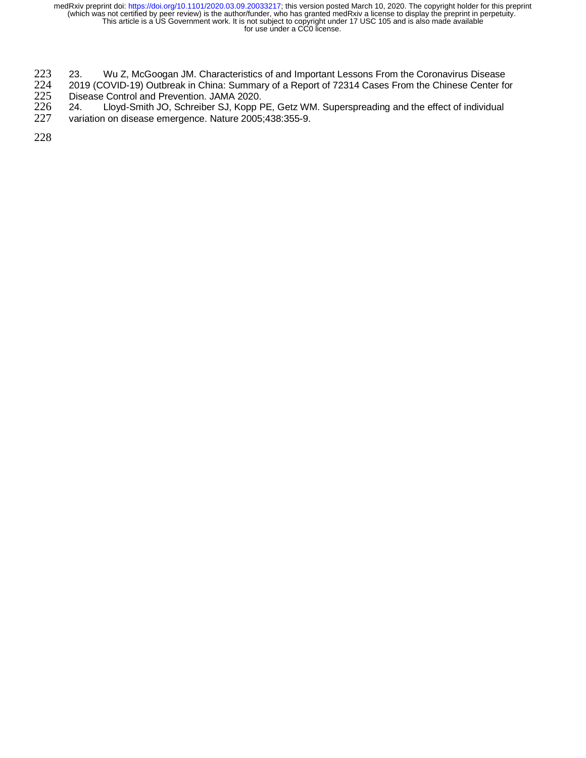- 223 23. Wu Z, McGoogan JM. Characteristics of and Important Lessons From the Coronavirus Disease<br>224 2019 (COVID-19) Outbreak in China: Summary of a Report of 72314 Cases From the Chinese Center fo
- 224 2019 (COVID-19) Outbreak in China: Summary of a Report of 72314 Cases From the Chinese Center for<br>225 Disease Control and Prevention. JAMA 2020.<br>226 24. Lloyd-Smith JO, Schreiber SJ, Kopp PE, Getz WM. Superspreading an
- Disease Control and Prevention. JAMA 2020.<br>24. Lloyd-Smith JO, Schreiber SJ, Kopp F 226 24. Lloyd-Smith JO, Schreiber SJ, Kopp PE, Getz WM. Superspreading and the effect of individual<br>227 variation on disease emergence. Nature 2005;438:355-9.
- variation on disease emergence. Nature 2005;438:355-9.

228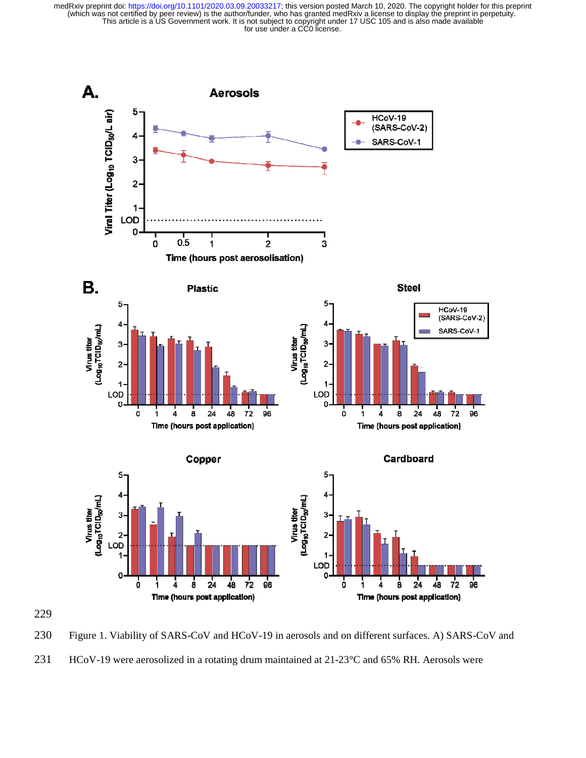

230 Figure 1. Viability of SARS-CoV and HCoV-19 in aerosols and on different surfaces. A) SARS-CoV and 231 HCoV-19 were aerosolized in a rotating drum maintained at 21-23°C and 65% RH. Aerosols were

229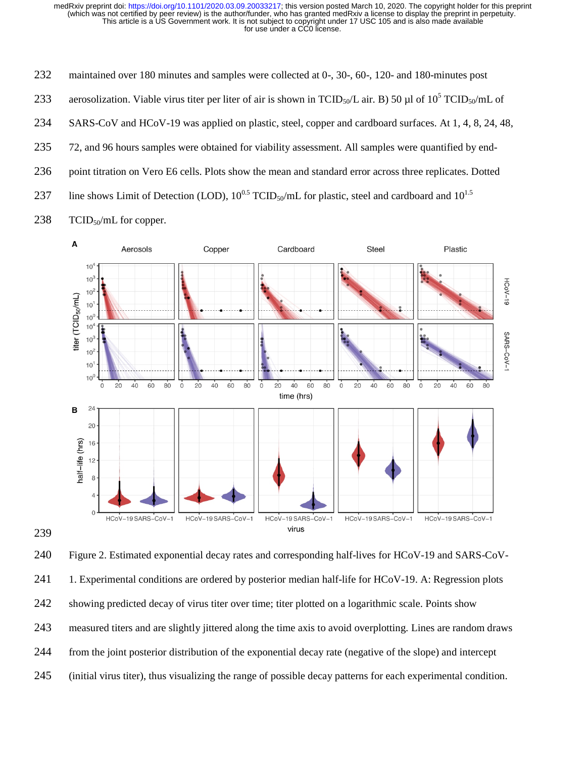232 maintained over 180 minutes and samples were collected at 0-, 30-, 60-, 120- and 180-minutes post 233 aerosolization. Viable virus titer per liter of air is shown in TCID<sub>50</sub>/L air. B) 50 µl of 10<sup>5</sup> TCID<sub>50</sub>/mL of 234 SARS-CoV and HCoV-19 was applied on plastic, steel, copper and cardboard surfaces. At 1, 4, 8, 24, 48, 235 72, and 96 hours samples were obtained for viability assessment. All samples were quantified by end-236 point titration on Vero E6 cells. Plots show the mean and standard error across three replicates. Dotted 237 line shows Limit of Detection (LOD),  $10^{0.5}$  TCID<sub>50</sub>/mL for plastic, steel and cardboard and  $10^{1.5}$ 238 TCID<sub>50</sub>/mL for copper.



240 Figure 2. Estimated exponential decay rates and corresponding half-lives for HCoV-19 and SARS-CoV-241 1. Experimental conditions are ordered by posterior median half-life for HCoV-19. A: Regression plots 242 showing predicted decay of virus titer over time; titer plotted on a logarithmic scale. Points show 243 measured titers and are slightly jittered along the time axis to avoid overplotting. Lines are random draws 244 from the joint posterior distribution of the exponential decay rate (negative of the slope) and intercept 245 (initial virus titer), thus visualizing the range of possible decay patterns for each experimental condition.